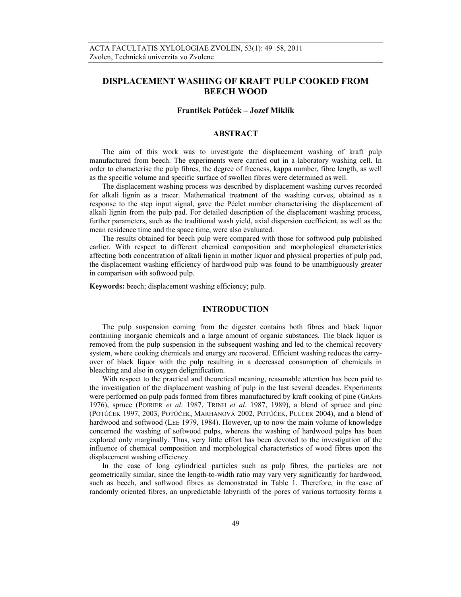# **DISPLACEMENT WASHING OF KRAFT PULP COOKED FROM BEECH WOOD**

### **František Potůček – Jozef Miklík**

# **ABSTRACT**

The aim of this work was to investigate the displacement washing of kraft pulp manufactured from beech. The experiments were carried out in a laboratory washing cell. In order to characterise the pulp fibres, the degree of freeness, kappa number, fibre length, as well as the specific volume and specific surface of swollen fibres were determined as well.

The displacement washing process was described by displacement washing curves recorded for alkali lignin as a tracer. Mathematical treatment of the washing curves, obtained as a response to the step input signal, gave the Péclet number characterising the displacement of alkali lignin from the pulp pad. For detailed description of the displacement washing process, further parameters, such as the traditional wash yield, axial dispersion coefficient, as well as the mean residence time and the space time, were also evaluated.

The results obtained for beech pulp were compared with those for softwood pulp published earlier. With respect to different chemical composition and morphological characteristics affecting both concentration of alkali lignin in mother liquor and physical properties of pulp pad, the displacement washing efficiency of hardwood pulp was found to be unambiguously greater in comparison with softwood pulp.

**Keywords:** beech; displacement washing efficiency; pulp.

# **INTRODUCTION**

The pulp suspension coming from the digester contains both fibres and black liquor containing inorganic chemicals and a large amount of organic substances. The black liquor is removed from the pulp suspension in the subsequent washing and led to the chemical recovery system, where cooking chemicals and energy are recovered. Efficient washing reduces the carryover of black liquor with the pulp resulting in a decreased consumption of chemicals in bleaching and also in oxygen delignification.

With respect to the practical and theoretical meaning, reasonable attention has been paid to the investigation of the displacement washing of pulp in the last several decades. Experiments were performed on pulp pads formed from fibres manufactured by kraft cooking of pine (GRÄHS 1976), spruce (POIRIER *et al*. 1987, TRINH *et al*. 1987, 1989), a blend of spruce and pine (POTŮČEK 1997, 2003, POTŮČEK, MARHANOVÁ 2002, POTŮČEK, PULCER 2004), and a blend of hardwood and softwood (LEE 1979, 1984). However, up to now the main volume of knowledge concerned the washing of softwood pulps, whereas the washing of hardwood pulps has been explored only marginally. Thus, very little effort has been devoted to the investigation of the influence of chemical composition and morphological characteristics of wood fibres upon the displacement washing efficiency.

In the case of long cylindrical particles such as pulp fibres, the particles are not geometrically similar, since the length-to-width ratio may vary very significantly for hardwood, such as beech, and softwood fibres as demonstrated in Table 1. Therefore, in the case of randomly oriented fibres, an unpredictable labyrinth of the pores of various tortuosity forms a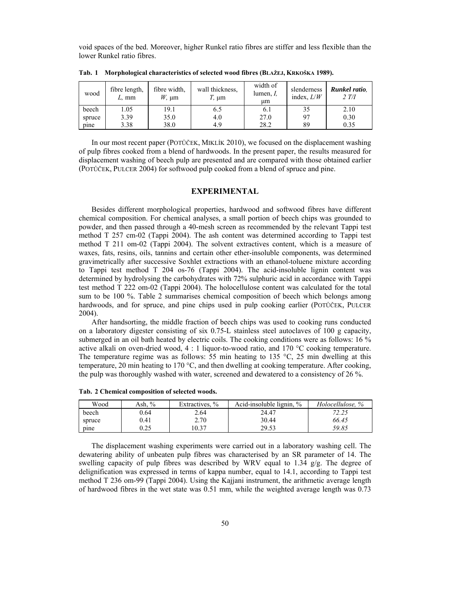void spaces of the bed. Moreover, higher Runkel ratio fibres are stiffer and less flexible than the lower Runkel ratio fibres.

| wood   | fibre length,<br>L. mm | fibre width.<br>$W_{\rm t}$ um | wall thickness.<br>', µm | width of<br>lumen, <i>I</i> ,<br>um | slenderness<br>index, $L/W$ | Runkel ratio.<br>2 T/I |
|--------|------------------------|--------------------------------|--------------------------|-------------------------------------|-----------------------------|------------------------|
| beech  | .05                    | 9.1                            | 6.5                      | <sup>6.1</sup>                      | 35                          | 2.10                   |
| spruce | 3.39                   | 35.0                           | 4.0                      | 27.0                                | 97                          | 0.30                   |
| pine   | 3.38                   | 38.0                           | 4.9                      | 28.2                                | 89                          | 0.35                   |

**Tab. 1 Morphological characteristics of selected wood fibres (BLAŽEJ, KRKOŠKA 1989).** 

In our most recent paper (POTŮČEK, MIKLÍK 2010), we focused on the displacement washing of pulp fibres cooked from a blend of hardwoods. In the present paper, the results measured for displacement washing of beech pulp are presented and are compared with those obtained earlier (POTŮČEK, PULCER 2004) for softwood pulp cooked from a blend of spruce and pine.

# **EXPERIMENTAL**

Besides different morphological properties, hardwood and softwood fibres have different chemical composition. For chemical analyses, a small portion of beech chips was grounded to powder, and then passed through a 40-mesh screen as recommended by the relevant Tappi test method T 257 cm-02 (Tappi 2004). The ash content was determined according to Tappi test method T 211 om-02 (Tappi 2004). The solvent extractives content, which is a measure of waxes, fats, resins, oils, tannins and certain other ether-insoluble components, was determined gravimetrically after successive Soxhlet extractions with an ethanol-toluene mixture according to Tappi test method T 204 os-76 (Tappi 2004). The acid-insoluble lignin content was determined by hydrolysing the carbohydrates with 72% sulphuric acid in accordance with Tappi test method T 222 om-02 (Tappi 2004). The holocellulose content was calculated for the total sum to be 100 %. Table 2 summarises chemical composition of beech which belongs among hardwoods, and for spruce, and pine chips used in pulp cooking earlier (POTŮČEK, PULCER 2004).

After handsorting, the middle fraction of beech chips was used to cooking runs conducted on a laboratory digester consisting of six 0.75-L stainless steel autoclaves of 100 g capacity, submerged in an oil bath heated by electric coils. The cooking conditions were as follows: 16 % active alkali on oven-dried wood,  $4:1$  liquor-to-wood ratio, and  $170$  °C cooking temperature. The temperature regime was as follows: 55 min heating to 135  $\degree$ C, 25 min dwelling at this temperature, 20 min heating to 170 °C, and then dwelling at cooking temperature. After cooking, the pulp was thoroughly washed with water, screened and dewatered to a consistency of 26 %.

| Wood   | $\frac{0}{0}$<br>Ash. ' | Extractives, % | $\frac{0}{0}$<br>Acid-insoluble lignin. | Holocellulose, % |
|--------|-------------------------|----------------|-----------------------------------------|------------------|
| beech  | 0.64                    | 2.64           | 24.47                                   | ل که ب           |
| spruce | 0.41                    | 2.70           | 30.44                                   | 66.45            |
| pine   | ሰ ጎ ደ<br>ن کے ر         | 10.37          | 29.53                                   | 59.85            |

**Tab. 2 Chemical composition of selected woods.** 

The displacement washing experiments were carried out in a laboratory washing cell. The dewatering ability of unbeaten pulp fibres was characterised by an SR parameter of 14. The swelling capacity of pulp fibres was described by WRV equal to 1.34  $g/g$ . The degree of delignification was expressed in terms of kappa number, equal to 14.1, according to Tappi test method T 236 om-99 (Tappi 2004). Using the Kajjani instrument, the arithmetic average length of hardwood fibres in the wet state was 0.51 mm, while the weighted average length was 0.73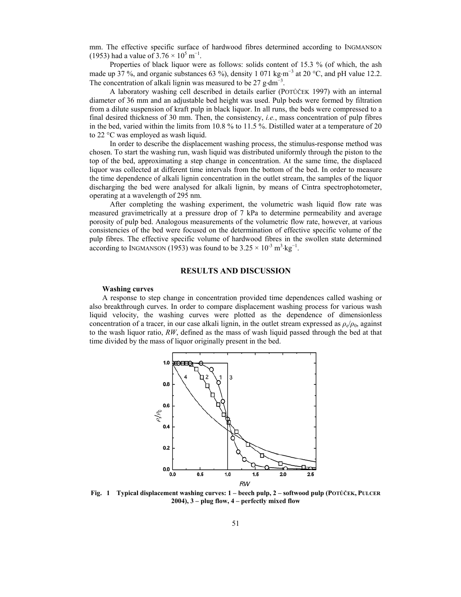mm. The effective specific surface of hardwood fibres determined according to INGMANSON (1953) had a value of  $3.76 \times 10^5$  m<sup>-1</sup>.

Properties of black liquor were as follows: solids content of 15.3 % (of which, the ash made up 37 %, and organic substances 63 %), density 1 071 kg⋅m<sup>-3</sup> at 20 °C, and pH value 12.2. The concentration of alkali lignin was measured to be  $27$  g⋅dm<sup>-3</sup>.

A laboratory washing cell described in details earlier (POTŮČEK 1997) with an internal diameter of 36 mm and an adjustable bed height was used. Pulp beds were formed by filtration from a dilute suspension of kraft pulp in black liquor. In all runs, the beds were compressed to a final desired thickness of 30 mm. Then, the consistency, *i.e.*, mass concentration of pulp fibres in the bed, varied within the limits from 10.8 % to 11.5 %. Distilled water at a temperature of 20 to 22 °C was employed as wash liquid.

In order to describe the displacement washing process, the stimulus-response method was chosen. To start the washing run, wash liquid was distributed uniformly through the piston to the top of the bed, approximating a step change in concentration. At the same time, the displaced liquor was collected at different time intervals from the bottom of the bed. In order to measure the time dependence of alkali lignin concentration in the outlet stream, the samples of the liquor discharging the bed were analysed for alkali lignin, by means of Cintra spectrophotometer, operating at a wavelength of 295 nm.

After completing the washing experiment, the volumetric wash liquid flow rate was measured gravimetrically at a pressure drop of 7 kPa to determine permeability and average porosity of pulp bed. Analogous measurements of the volumetric flow rate, however, at various consistencies of the bed were focused on the determination of effective specific volume of the pulp fibres. The effective specific volume of hardwood fibres in the swollen state determined according to INGMANSON (1953) was found to be  $3.25 \times 10^{-3} \text{ m}^3 \text{ kg}^{-1}$ .

# **RESULTS AND DISCUSSION**

### **Washing curves**

A response to step change in concentration provided time dependences called washing or also breakthrough curves. In order to compare displacement washing process for various wash liquid velocity, the washing curves were plotted as the dependence of dimensionless concentration of a tracer, in our case alkali lignin, in the outlet stream expressed as  $\rho_e/\rho_0$ , against to the wash liquor ratio, *RW*, defined as the mass of wash liquid passed through the bed at that time divided by the mass of liquor originally present in the bed.



**Fig. 1 Typical displacement washing curves: 1 – beech pulp, 2 – softwood pulp (POTŮČEK, PULCER 2004), 3 – plug flow, 4 – perfectly mixed flow**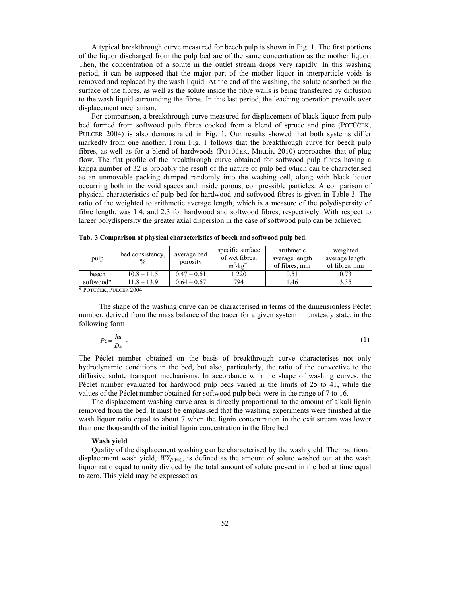A typical breakthrough curve measured for beech pulp is shown in Fig. 1. The first portions of the liquor discharged from the pulp bed are of the same concentration as the mother liquor. Then, the concentration of a solute in the outlet stream drops very rapidly. In this washing period, it can be supposed that the major part of the mother liquor in interparticle voids is removed and replaced by the wash liquid. At the end of the washing, the solute adsorbed on the surface of the fibres, as well as the solute inside the fibre walls is being transferred by diffusion to the wash liquid surrounding the fibres. In this last period, the leaching operation prevails over displacement mechanism.

For comparison, a breakthrough curve measured for displacement of black liquor from pulp bed formed from softwood pulp fibres cooked from a blend of spruce and pine (POTŮČEK, PULCER 2004) is also demonstrated in Fig. 1. Our results showed that both systems differ markedly from one another. From Fig. 1 follows that the breakthrough curve for beech pulp fibres, as well as for a blend of hardwoods (POTŮČEK, MIKLÍK 2010) approaches that of plug flow. The flat profile of the breakthrough curve obtained for softwood pulp fibres having a kappa number of 32 is probably the result of the nature of pulp bed which can be characterised as an unmovable packing dumped randomly into the washing cell, along with black liquor occurring both in the void spaces and inside porous, compressible particles. A comparison of physical characteristics of pulp bed for hardwood and softwood fibres is given in Table 3. The ratio of the weighted to arithmetic average length, which is a measure of the polydispersity of fibre length, was 1.4, and 2.3 for hardwood and softwood fibres, respectively. With respect to larger polydispersity the greater axial dispersion in the case of softwood pulp can be achieved.

| pulp      | bed consistency,<br>$\frac{0}{0}$ | average bed<br>porosity | specific surface<br>of wet fibres.<br>$m^2$ ·kg <sup>-1</sup> | arithmetic<br>average length<br>of fibres, mm | weighted<br>average length<br>of fibres, mm |
|-----------|-----------------------------------|-------------------------|---------------------------------------------------------------|-----------------------------------------------|---------------------------------------------|
| beech     | $10.8 - 11.5$                     | $0.47 - 0.61$           | 1220                                                          | 0.51                                          | 0.73                                        |
| softwood* | $11.8 - 13.9$                     | $0.64 - 0.67$           | 794                                                           | l.46                                          | 3.35                                        |

**Tab. 3 Comparison of physical characteristics of beech and softwood pulp bed.** 

\* POTŮČEK, PULCER 2004

The shape of the washing curve can be characterised in terms of the dimensionless Péclet number, derived from the mass balance of the tracer for a given system in unsteady state, in the following form

$$
Pe = \frac{hu}{D\varepsilon} \tag{1}
$$

The Péclet number obtained on the basis of breakthrough curve characterises not only hydrodynamic conditions in the bed, but also, particularly, the ratio of the convective to the diffusive solute transport mechanisms. In accordance with the shape of washing curves, the Péclet number evaluated for hardwood pulp beds varied in the limits of 25 to 41, while the values of the Péclet number obtained for softwood pulp beds were in the range of 7 to 16.

The displacement washing curve area is directly proportional to the amount of alkali lignin removed from the bed. It must be emphasised that the washing experiments were finished at the wash liquor ratio equal to about 7 when the lignin concentration in the exit stream was lower than one thousandth of the initial lignin concentration in the fibre bed.

#### **Wash yield**

Quality of the displacement washing can be characterised by the wash yield. The traditional displacement wash yield,  $WY_{RW=1}$ , is defined as the amount of solute washed out at the wash liquor ratio equal to unity divided by the total amount of solute present in the bed at time equal to zero. This yield may be expressed as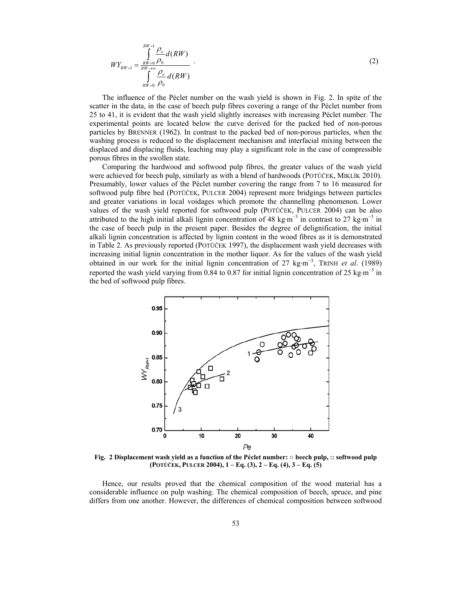$$
WY_{RW=1} = \frac{\int_{RW=0}^{RW=1} \frac{\rho_e}{\rho_0} d(RW)}{\int_{RW=0}^{RV=0} \frac{\rho_e}{\rho_0} d(RW)}.
$$
\n(2)

The influence of the Péclet number on the wash yield is shown in Fig. 2. In spite of the scatter in the data, in the case of beech pulp fibres covering a range of the Péclet number from 25 to 41, it is evident that the wash yield slightly increases with increasing Péclet number. The experimental points are located below the curve derived for the packed bed of non-porous particles by BRENNER (1962). In contrast to the packed bed of non-porous particles, when the washing process is reduced to the displacement mechanism and interfacial mixing between the displaced and displacing fluids, leaching may play a significant role in the case of compressible porous fibres in the swollen state.

Comparing the hardwood and softwood pulp fibres, the greater values of the wash yield were achieved for beech pulp, similarly as with a blend of hardwoods (POTŮČEK, MIKLÍK 2010). Presumably, lower values of the Péclet number covering the range from 7 to 16 measured for softwood pulp fibre bed (POTŮČEK, PULCER 2004) represent more bridgings between particles and greater variations in local voidages which promote the channelling phenomenon. Lower values of the wash yield reported for softwood pulp (POTŮČEK, PULCER 2004) can be also attributed to the high initial alkali lignin concentration of 48 kg⋅m<sup>-3</sup> in contrast to 27 kg⋅m<sup>-3</sup> in the case of beech pulp in the present paper. Besides the degree of delignification, the initial alkali lignin concentration is affected by lignin content in the wood fibres as it is demonstrated in Table 2. As previously reported (POTŮČEK 1997), the displacement wash yield decreases with increasing initial lignin concentration in the mother liquor. As for the values of the wash yield obtained in our work for the initial lignin concentration of 27 kg⋅m<sup>-3</sup>, TRINH *et al.* (1989) reported the wash yield varying from 0.84 to 0.87 for initial lignin concentration of 25 kg⋅m<sup>-3</sup> in the bed of softwood pulp fibres.



**Fig. 2 Displacement wash yield as a function of the Péclet number: ○ beech pulp, □ softwood pulp (POTŮČEK, PULCER 2004), 1 – Eq. (3), 2 – Eq. (4), 3 – Eq. (5)**

Hence, our results proved that the chemical composition of the wood material has a considerable influence on pulp washing. The chemical composition of beech, spruce, and pine differs from one another. However, the differences of chemical composition between softwood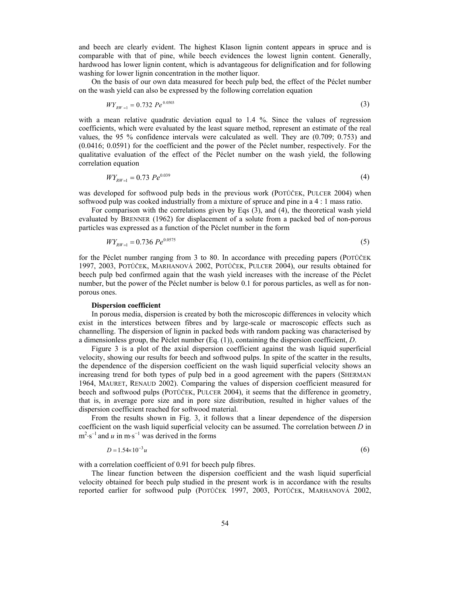and beech are clearly evident. The highest Klason lignin content appears in spruce and is comparable with that of pine, while beech evidences the lowest lignin content. Generally, hardwood has lower lignin content, which is advantageous for delignification and for following washing for lower lignin concentration in the mother liquor.

On the basis of our own data measured for beech pulp bed, the effect of the Péclet number on the wash yield can also be expressed by the following correlation equation

$$
WY_{RW=1} = 0.732 \ Pe^{0.0503} \tag{3}
$$

with a mean relative quadratic deviation equal to 1.4 %. Since the values of regression coefficients, which were evaluated by the least square method, represent an estimate of the real values, the 95 % confidence intervals were calculated as well. They are (0.709; 0.753) and (0.0416; 0.0591) for the coefficient and the power of the Péclet number, respectively. For the qualitative evaluation of the effect of the Péclet number on the wash yield, the following correlation equation

$$
WY_{RW=1} = 0.73 \, Pe^{0.039} \tag{4}
$$

was developed for softwood pulp beds in the previous work (POTŮČEK, PULCER 2004) when softwood pulp was cooked industrially from a mixture of spruce and pine in a 4 : 1 mass ratio.

For comparison with the correlations given by Eqs (3), and (4), the theoretical wash yield evaluated by BRENNER (1962) for displacement of a solute from a packed bed of non-porous particles was expressed as a function of the Péclet number in the form

$$
WY_{RW=1} = 0.736 \, P e^{0.0575} \tag{5}
$$

for the Péclet number ranging from 3 to 80. In accordance with preceding papers (POTŮČEK 1997, 2003, POTŮČEK, MARHANOVÁ 2002, POTŮČEK, PULCER 2004), our results obtained for beech pulp bed confirmed again that the wash yield increases with the increase of the Péclet number, but the power of the Péclet number is below 0.1 for porous particles, as well as for nonporous ones.

### **Dispersion coefficient**

In porous media, dispersion is created by both the microscopic differences in velocity which exist in the interstices between fibres and by large-scale or macroscopic effects such as channelling. The dispersion of lignin in packed beds with random packing was characterised by a dimensionless group, the Péclet number (Eq. (1)), containing the dispersion coefficient, *D*.

Figure 3 is a plot of the axial dispersion coefficient against the wash liquid superficial velocity, showing our results for beech and softwood pulps. In spite of the scatter in the results, the dependence of the dispersion coefficient on the wash liquid superficial velocity shows an increasing trend for both types of pulp bed in a good agreement with the papers (SHERMAN 1964, MAURET, RENAUD 2002). Comparing the values of dispersion coefficient measured for beech and softwood pulps (POTŮČEK, PULCER 2004), it seems that the difference in geometry, that is, in average pore size and in pore size distribution, resulted in higher values of the dispersion coefficient reached for softwood material.

From the results shown in Fig. 3, it follows that a linear dependence of the dispersion coefficient on the wash liquid superficial velocity can be assumed. The correlation between *D* in  $m^2 \cdot s^{-1}$  and *u* in m $\cdot s^{-1}$  was derived in the forms

$$
D = 1.54 \times 10^{-3} u \tag{6}
$$

with a correlation coefficient of 0.91 for beech pulp fibres.

The linear function between the dispersion coefficient and the wash liquid superficial velocity obtained for beech pulp studied in the present work is in accordance with the results reported earlier for softwood pulp (POTŮČEK 1997, 2003, POTŮČEK, MARHANOVÁ 2002,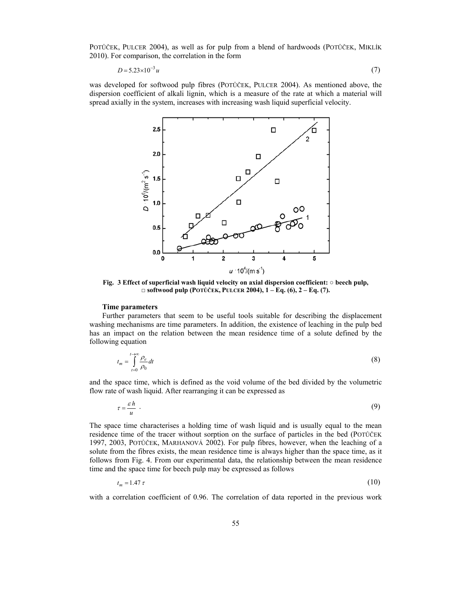POTŮČEK, PULCER 2004), as well as for pulp from a blend of hardwoods (POTŮČEK, MIKLÍK 2010). For comparison, the correlation in the form

$$
D = 5.23 \times 10^{-3} u \tag{7}
$$

was developed for softwood pulp fibres (POTŮČEK, PULCER 2004). As mentioned above, the dispersion coefficient of alkali lignin, which is a measure of the rate at which a material will spread axially in the system, increases with increasing wash liquid superficial velocity.



**Fig. 3 Effect of superficial wash liquid velocity on axial dispersion coefficient: ○ beech pulp, □ softwood pulp (POTŮČEK, PULCER 2004), 1 – Eq. (6), 2 – Eq. (7).**

# **Time parameters**

Further parameters that seem to be useful tools suitable for describing the displacement washing mechanisms are time parameters. In addition, the existence of leaching in the pulp bed has an impact on the relation between the mean residence time of a solute defined by the following equation

$$
t_m = \int_{t=0}^{t \to \infty} \frac{\rho_e}{\rho_0} dt
$$
 (8)

and the space time, which is defined as the void volume of the bed divided by the volumetric flow rate of wash liquid. After rearranging it can be expressed as

$$
\tau = \frac{\varepsilon h}{u} \tag{9}
$$

The space time characterises a holding time of wash liquid and is usually equal to the mean residence time of the tracer without sorption on the surface of particles in the bed (POTŮČEK 1997, 2003, POTŮČEK, MARHANOVÁ 2002). For pulp fibres, however, when the leaching of a solute from the fibres exists, the mean residence time is always higher than the space time, as it follows from Fig. 4. From our experimental data, the relationship between the mean residence time and the space time for beech pulp may be expressed as follows

$$
t_m = 1.47 \,\tau \tag{10}
$$

with a correlation coefficient of 0.96. The correlation of data reported in the previous work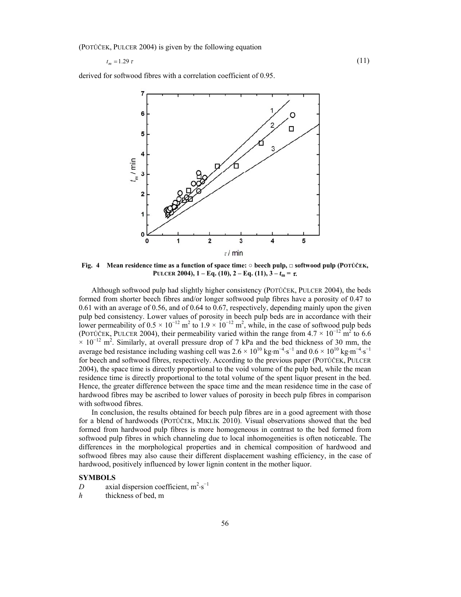(POTŮČEK, PULCER 2004) is given by the following equation

 $t_m = 1.29 \tau$  (11)

derived for softwood fibres with a correlation coefficient of 0.95.



**Fig. 4 Mean residence time as a function of space time: ○ beech pulp, □ softwood pulp (POTŮČEK, PULCER 2004),**  $1 - Eq. (10)$ **,**  $2 - Eq. (11)$ **,**  $3 - t_m = \tau$ **.** 

Although softwood pulp had slightly higher consistency (POTŮČEK, PULCER 2004), the beds formed from shorter beech fibres and/or longer softwood pulp fibres have a porosity of 0.47 to 0.61 with an average of 0.56, and of 0.64 to 0.67, respectively, depending mainly upon the given pulp bed consistency. Lower values of porosity in beech pulp beds are in accordance with their lower permeability of  $0.5 \times 10^{-12}$  m<sup>2</sup> to  $1.9 \times 10^{-12}$  m<sup>2</sup>, while, in the case of softwood pulp beds (POTŮČEK, PULCER 2004), their permeability varied within the range from  $4.7 \times 10^{-12}$  m<sup>2</sup> to 6.6  $\times$  10<sup>-12</sup> m<sup>2</sup>. Similarly, at overall pressure drop of 7 kPa and the bed thickness of 30 mm, the average bed resistance including washing cell was  $2.6 \times 10^{10}$  kg·m<sup>-4</sup>·s<sup>-1</sup> and  $0.6 \times 10^{10}$  kg·m<sup>-4</sup>·s<sup>-1</sup> for beech and softwood fibres, respectively. According to the previous paper (POTŮČEK, PULCER 2004), the space time is directly proportional to the void volume of the pulp bed, while the mean residence time is directly proportional to the total volume of the spent liquor present in the bed. Hence, the greater difference between the space time and the mean residence time in the case of hardwood fibres may be ascribed to lower values of porosity in beech pulp fibres in comparison with softwood fibres.

In conclusion, the results obtained for beech pulp fibres are in a good agreement with those for a blend of hardwoods (POTŮČEK, MIKLÍK 2010). Visual observations showed that the bed formed from hardwood pulp fibres is more homogeneous in contrast to the bed formed from softwood pulp fibres in which channeling due to local inhomogeneities is often noticeable. The differences in the morphological properties and in chemical composition of hardwood and softwood fibres may also cause their different displacement washing efficiency, in the case of hardwood, positively influenced by lower lignin content in the mother liquor.

### **SYMBOLS**

- *D* axial dispersion coefficient,  $m^2 \cdot s^{-1}$
- *h* thickness of bed, m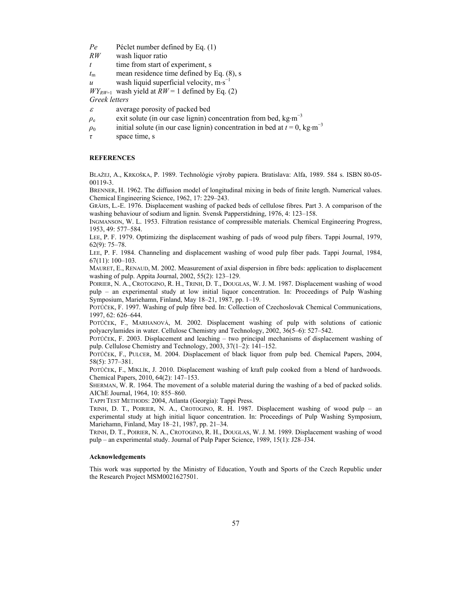*Pe* Péclet number defined by Eq. (1)

*RW* wash liquor ratio

*t* time from start of experiment, s

 $t_{\rm m}$  mean residence time defined by Eq. (8), s

*u* wash liquid superficial velocity, m·s<sup>-1</sup>

 $WY_{RW=1}$  wash yield at  $RW = 1$  defined by Eq. (2)

*Greek letters* 

- $\varepsilon$  average porosity of packed bed
- $\rho_e$  exit solute (in our case lignin) concentration from bed, kg·m<sup>-3</sup>
- $\rho_0$  initial solute (in our case lignin) concentration in bed at *t* = 0, kg⋅m<sup>-3</sup>
- *τ* space time, s

### **REFERENCES**

BLAŽEJ, A., KRKOŠKA, P. 1989. Technológie výroby papiera. Bratislava: Alfa, 1989. 584 s. ISBN 80-05- 00119-3.

BRENNER, H. 1962. The diffusion model of longitudinal mixing in beds of finite length. Numerical values. Chemical Engineering Science, 1962, 17: 229–243.

GRÄHS, L.-E. 1976. Displacement washing of packed beds of cellulose fibres. Part 3. A comparison of the washing behaviour of sodium and lignin. Svensk Papperstidning, 1976, 4: 123–158.

INGMANSON, W. L. 1953. Filtration resistance of compressible materials. Chemical Engineering Progress, 1953, 49: 577–584.

LEE, P. F. 1979. Optimizing the displacement washing of pads of wood pulp fibers. Tappi Journal, 1979, 62(9): 75–78.

LEE, P. F. 1984. Channeling and displacement washing of wood pulp fiber pads. Tappi Journal, 1984, 67(11): 100–103.

MAURET, E., RENAUD, M. 2002. Measurement of axial dispersion in fibre beds: application to displacement washing of pulp. Appita Journal, 2002, 55(2): 123–129.

POIRIER, N. A., CROTOGINO, R. H., TRINH, D. T., DOUGLAS, W. J. M. 1987. Displacement washing of wood pulp – an experimental study at low initial liquor concentration. In: Proceedings of Pulp Washing Symposium, Mariehamn, Finland, May 18–21, 1987, pp. 1–19.

POTŮČEK, F. 1997. Washing of pulp fibre bed. In: Collection of Czechoslovak Chemical Communications, 1997, 62: 626–644.

POTŮČEK, F., MARHANOVÁ, M. 2002. Displacement washing of pulp with solutions of cationic polyacrylamides in water. Cellulose Chemistry and Technology, 2002, 36(5–6): 527–542.

POTŮČEK, F. 2003. Displacement and leaching – two principal mechanisms of displacement washing of pulp. Cellulose Chemistry and Technology, 2003, 37(1–2): 141–152.

POTŮČEK, F., PULCER, M. 2004. Displacement of black liquor from pulp bed. Chemical Papers, 2004, 58(5): 377–381.

POTŮČEK, F., MIKLÍK, J. 2010. Displacement washing of kraft pulp cooked from a blend of hardwoods. Chemical Papers, 2010, 64(2): 147–153.

SHERMAN, W. R. 1964. The movement of a soluble material during the washing of a bed of packed solids. AIChE Journal, 1964, 10: 855–860.

TAPPI TEST METHODS: 2004, Atlanta (Georgia): Tappi Press.

TRINH, D. T., POIRIER, N. A., CROTOGINO, R. H. 1987. Displacement washing of wood pulp – an experimental study at high initial liquor concentration. In: Proceedings of Pulp Washing Symposium, Mariehamn, Finland, May 18–21, 1987, pp. 21–34.

TRINH, D. T., POIRIER, N. A., CROTOGINO, R. H., DOUGLAS, W. J. M. 1989. Displacement washing of wood pulp – an experimental study. Journal of Pulp Paper Science, 1989, 15(1): J28–J34.

### **Acknowledgements**

This work was supported by the Ministry of Education, Youth and Sports of the Czech Republic under the Research Project MSM0021627501.